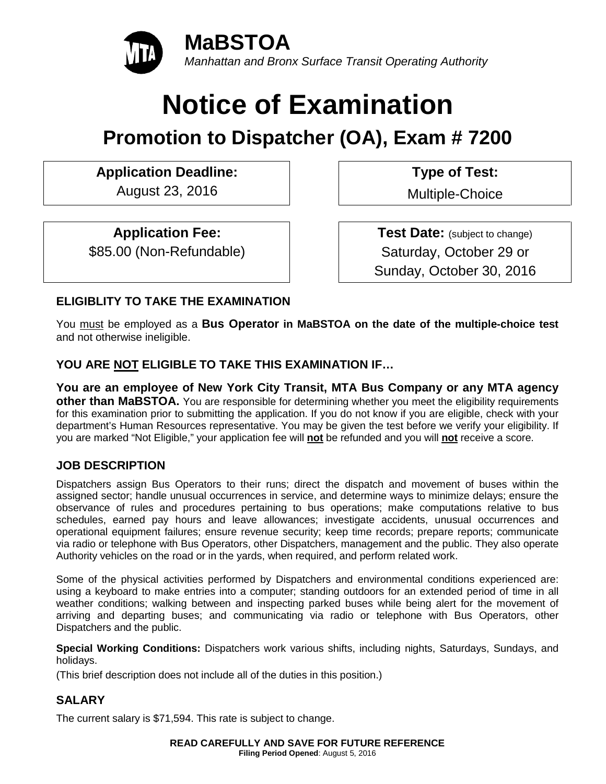

# **Notice of Examination**

## **Promotion to Dispatcher (OA), Exam # 7200**

### **Application Deadline: Type of Test:**

August 23, 2016 **Multiple-Choice** 

#### **Application Fee:**

\$85.00 (Non-Refundable)

**Test Date:** (subject to change) Saturday, October 29 or Sunday, October 30, 2016

#### **ELIGIBLITY TO TAKE THE EXAMINATION**

You must be employed as a **Bus Operator in MaBSTOA on the date of the multiple-choice test** and not otherwise ineligible.

#### **YOU ARE NOT ELIGIBLE TO TAKE THIS EXAMINATION IF…**

**You are an employee of New York City Transit, MTA Bus Company or any MTA agency other than MaBSTOA.** You are responsible for determining whether you meet the eligibility requirements for this examination prior to submitting the application. If you do not know if you are eligible, check with your department's Human Resources representative. You may be given the test before we verify your eligibility. If you are marked "Not Eligible," your application fee will **not** be refunded and you will **not** receive a score.

#### **JOB DESCRIPTION**

Dispatchers assign Bus Operators to their runs; direct the dispatch and movement of buses within the assigned sector; handle unusual occurrences in service, and determine ways to minimize delays; ensure the observance of rules and procedures pertaining to bus operations; make computations relative to bus schedules, earned pay hours and leave allowances; investigate accidents, unusual occurrences and operational equipment failures; ensure revenue security; keep time records; prepare reports; communicate via radio or telephone with Bus Operators, other Dispatchers, management and the public. They also operate Authority vehicles on the road or in the yards, when required, and perform related work.

Some of the physical activities performed by Dispatchers and environmental conditions experienced are: using a keyboard to make entries into a computer; standing outdoors for an extended period of time in all weather conditions; walking between and inspecting parked buses while being alert for the movement of arriving and departing buses; and communicating via radio or telephone with Bus Operators, other Dispatchers and the public.

**Special Working Conditions:** Dispatchers work various shifts, including nights, Saturdays, Sundays, and holidays.

(This brief description does not include all of the duties in this position.)

#### **SALARY**

The current salary is \$71,594. This rate is subject to change.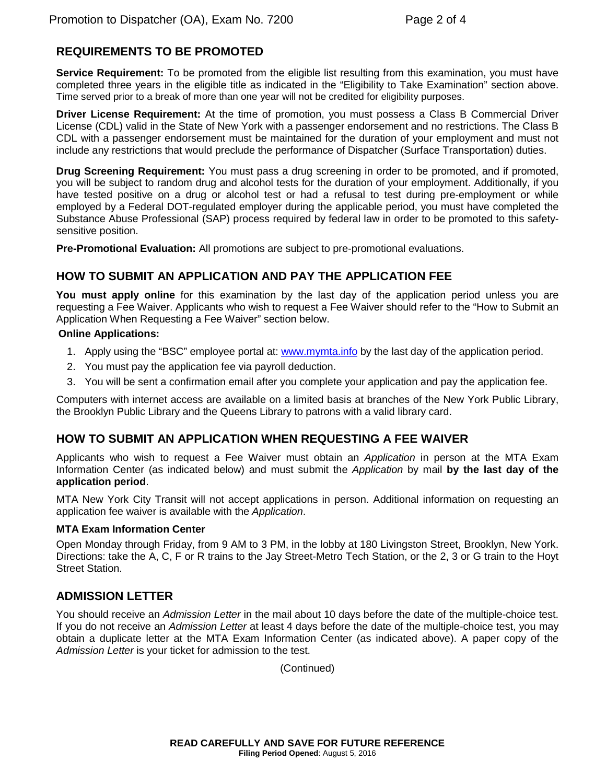#### **REQUIREMENTS TO BE PROMOTED**

**Service Requirement:** To be promoted from the eligible list resulting from this examination, you must have completed three years in the eligible title as indicated in the "Eligibility to Take Examination" section above. Time served prior to a break of more than one year will not be credited for eligibility purposes.

**Driver License Requirement:** At the time of promotion, you must possess a Class B Commercial Driver License (CDL) valid in the State of New York with a passenger endorsement and no restrictions. The Class B CDL with a passenger endorsement must be maintained for the duration of your employment and must not include any restrictions that would preclude the performance of Dispatcher (Surface Transportation) duties.

**Drug Screening Requirement:** You must pass a drug screening in order to be promoted, and if promoted, you will be subject to random drug and alcohol tests for the duration of your employment. Additionally, if you have tested positive on a drug or alcohol test or had a refusal to test during pre-employment or while employed by a Federal DOT-regulated employer during the applicable period, you must have completed the Substance Abuse Professional (SAP) process required by federal law in order to be promoted to this safetysensitive position.

**Pre-Promotional Evaluation:** All promotions are subject to pre-promotional evaluations.

#### **HOW TO SUBMIT AN APPLICATION AND PAY THE APPLICATION FEE**

**You must apply online** for this examination by the last day of the application period unless you are requesting a Fee Waiver. Applicants who wish to request a Fee Waiver should refer to the "How to Submit an Application When Requesting a Fee Waiver" section below.

#### **Online Applications:**

- 1. Apply using the "BSC" employee portal at: [www.mymta.info](http://www.mymta.info/) by the last day of the application period.
- 2. You must pay the application fee via payroll deduction.
- 3. You will be sent a confirmation email after you complete your application and pay the application fee.

Computers with internet access are available on a limited basis at branches of the New York Public Library, the Brooklyn Public Library and the Queens Library to patrons with a valid library card.

#### **HOW TO SUBMIT AN APPLICATION WHEN REQUESTING A FEE WAIVER**

Applicants who wish to request a Fee Waiver must obtain an *Application* in person at the MTA Exam Information Center (as indicated below) and must submit the *Application* by mail **by the last day of the application period**.

MTA New York City Transit will not accept applications in person. Additional information on requesting an application fee waiver is available with the *Application*.

#### **MTA Exam Information Center**

Open Monday through Friday, from 9 AM to 3 PM, in the lobby at 180 Livingston Street, Brooklyn, New York. Directions: take the A, C, F or R trains to the Jay Street-Metro Tech Station, or the 2, 3 or G train to the Hoyt Street Station.

#### **ADMISSION LETTER**

You should receive an *Admission Letter* in the mail about 10 days before the date of the multiple-choice test. If you do not receive an *Admission Letter* at least 4 days before the date of the multiple-choice test, you may obtain a duplicate letter at the MTA Exam Information Center (as indicated above). A paper copy of the *Admission Letter* is your ticket for admission to the test.

(Continued)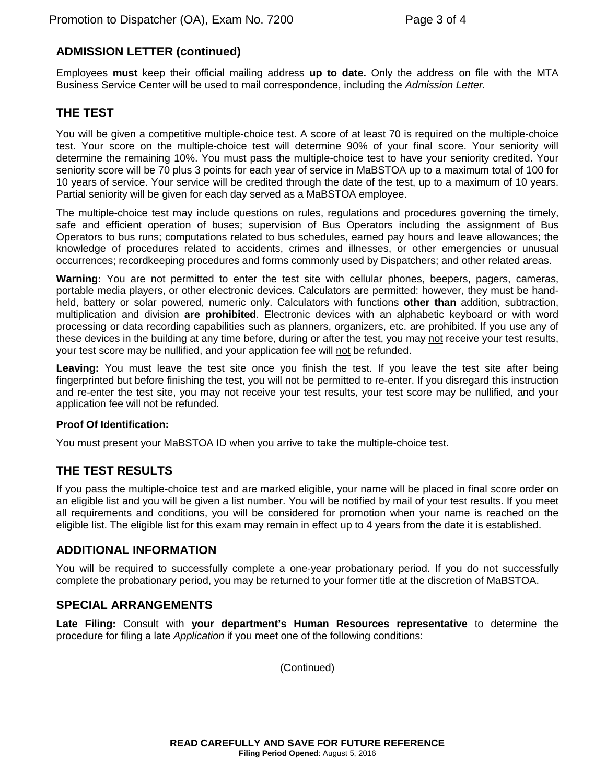#### **ADMISSION LETTER (continued)**

Employees **must** keep their official mailing address **up to date.** Only the address on file with the MTA Business Service Center will be used to mail correspondence, including the *Admission Letter.*

#### **THE TEST**

You will be given a competitive multiple-choice test. A score of at least 70 is required on the multiple-choice test. Your score on the multiple-choice test will determine 90% of your final score. Your seniority will determine the remaining 10%. You must pass the multiple-choice test to have your seniority credited. Your seniority score will be 70 plus 3 points for each year of service in MaBSTOA up to a maximum total of 100 for 10 years of service. Your service will be credited through the date of the test, up to a maximum of 10 years. Partial seniority will be given for each day served as a MaBSTOA employee.

The multiple-choice test may include questions on rules, regulations and procedures governing the timely, safe and efficient operation of buses; supervision of Bus Operators including the assignment of Bus Operators to bus runs; computations related to bus schedules, earned pay hours and leave allowances; the knowledge of procedures related to accidents, crimes and illnesses, or other emergencies or unusual occurrences; recordkeeping procedures and forms commonly used by Dispatchers; and other related areas.

**Warning:** You are not permitted to enter the test site with cellular phones, beepers, pagers, cameras, portable media players, or other electronic devices. Calculators are permitted: however, they must be handheld, battery or solar powered, numeric only. Calculators with functions **other than** addition, subtraction, multiplication and division **are prohibited**. Electronic devices with an alphabetic keyboard or with word processing or data recording capabilities such as planners, organizers, etc. are prohibited. If you use any of these devices in the building at any time before, during or after the test, you may not receive your test results, your test score may be nullified, and your application fee will not be refunded.

**Leaving:** You must leave the test site once you finish the test. If you leave the test site after being fingerprinted but before finishing the test, you will not be permitted to re-enter. If you disregard this instruction and re-enter the test site, you may not receive your test results, your test score may be nullified, and your application fee will not be refunded.

#### **Proof Of Identification:**

You must present your MaBSTOA ID when you arrive to take the multiple-choice test.

#### **THE TEST RESULTS**

If you pass the multiple-choice test and are marked eligible, your name will be placed in final score order on an eligible list and you will be given a list number. You will be notified by mail of your test results. If you meet all requirements and conditions, you will be considered for promotion when your name is reached on the eligible list. The eligible list for this exam may remain in effect up to 4 years from the date it is established.

#### **ADDITIONAL INFORMATION**

You will be required to successfully complete a one-year probationary period. If you do not successfully complete the probationary period, you may be returned to your former title at the discretion of MaBSTOA.

#### **SPECIAL ARRANGEMENTS**

**Late Filing:** Consult with **your department's Human Resources representative** to determine the procedure for filing a late *Application* if you meet one of the following conditions:

(Continued)